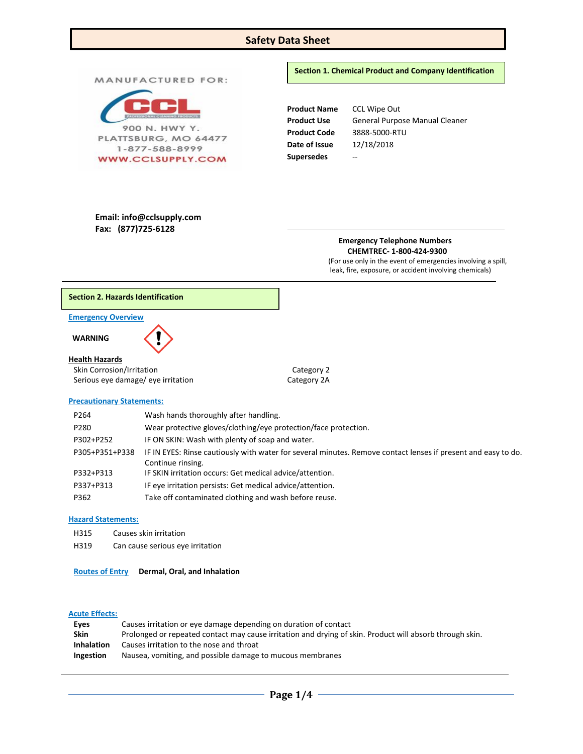# **Safety Data Sheet**

**Product Name** CCL Wipe Out Product Use **General Purpose Manual Cleaner** 900 N. HWY Y. **Product Code** 3888-5000-RTU PLATTSBURG, MO 64477 **Date of Issue** 12/18/2018 1-877-588-8999 **Supersedes** -- **WWW.CCLSUPPLY.COM Email: info@cclsupply.com Fax: (877)725-6128 Emergency Telephone Numbers CHEMTREC- 1-800-424-9300** (For use only in the event of emergencies involving a spill, leak, fire, exposure, or accident involving chemicals)

## **Section 2. Hazards Identification**

MANUFACTURED FOR:

## **Emergency Overview**

 **WARNING** 

#### **Health Hazards**

Skin Corrosion/Irritation Category 2 Serious eye damage/ eye irritation Category 2A

#### **Precautionary Statements:**

| P264           | Wash hands thoroughly after handling.                                                                         |
|----------------|---------------------------------------------------------------------------------------------------------------|
| P280           | Wear protective gloves/clothing/eye protection/face protection.                                               |
| P302+P252      | IF ON SKIN: Wash with plenty of soap and water.                                                               |
| P305+P351+P338 | IF IN EYES: Rinse cautiously with water for several minutes. Remove contact lenses if present and easy to do. |
|                | Continue rinsing.                                                                                             |
| P332+P313      | IF SKIN irritation occurs: Get medical advice/attention.                                                      |
| P337+P313      | IF eye irritation persists: Get medical advice/attention.                                                     |
| P362           | Take off contaminated clothing and wash before reuse.                                                         |

### **Hazard Statements:**

- H315 Causes skin irritation
- H319 Can cause serious eye irritation

## **Routes of Entry Dermal, Oral, and Inhalation**

# **Acute Effects:**

| Eves              | Causes irritation or eye damage depending on duration of contact                                         |
|-------------------|----------------------------------------------------------------------------------------------------------|
| Skin              | Prolonged or repeated contact may cause irritation and drying of skin. Product will absorb through skin. |
| <b>Inhalation</b> | Causes irritation to the nose and throat                                                                 |
| <b>Ingestion</b>  | Nausea, vomiting, and possible damage to mucous membranes                                                |
|                   |                                                                                                          |

## **Section 1. Chemical Product and Company Identification**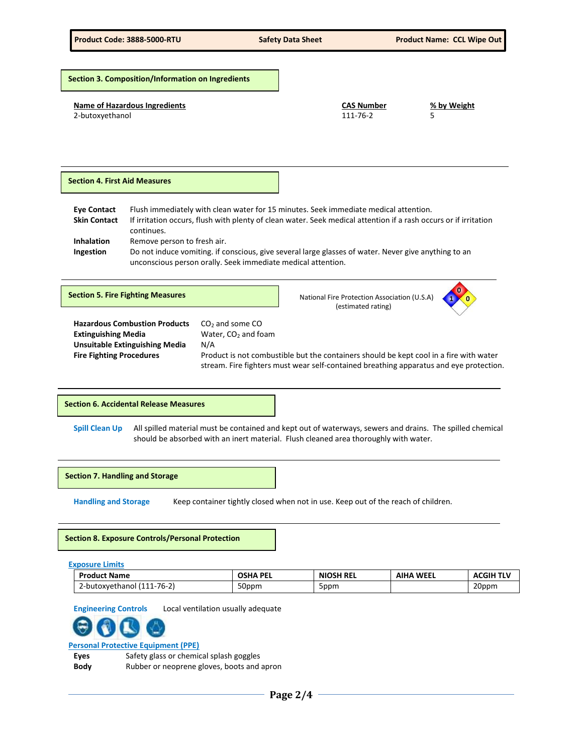**Name of Hazardous Ingredients CAS Number % by Weight** 2-butoxyethanol 111-76-2 **Eye Contact** Flush immediately with clean water for 15 minutes. Seek immediate medical attention. **Skin Contact** If irritation occurs, flush with plenty of clean water. Seek medical attention if a rash occurs or if irritation continues. **Inhalation** Remove person to fresh air. **Ingestion** Do not induce vomiting. if conscious, give several large glasses of water. Never give anything to an unconscious person orally. Seek immediate medical attention.  Hazardous Combustion Products CO<sub>2</sub> and some CO **Extinguishing Media Water, CO<sub>2</sub> and foam Unsuitable Extinguishing Media** N/A **Fire Fighting Procedures** Product is not combustible but the containers should be kept cool in a fire with water stream. Fire fighters must wear self-contained breathing apparatus and eye protection. **Spill Clean Up** All spilled material must be contained and kept out of waterways, sewers and drains. The spilled chemical should be absorbed with an inert material. Flush cleaned area thoroughly with water. **Section 3. Composition/Information on Ingredients Section 4. First Aid Measures Section 5. Fire Fighting Measures National Fire Protection Association (U.S.A) National Fire Protection Association (U.S.A)**  (estimated rating) **1 0 0 Section 6. Accidental Release Measures**

**Section 7. Handling and Storage** 

**Handling and Storage** Keep container tightly closed when not in use. Keep out of the reach of children.

**Section 8. Exposure Controls/Personal Protection**

**Exposure Limits**

| <b>Product Name</b>                                                       | DF<br><b>OSHA</b><br>. | <b>NIOSH REL</b> | WEEL<br>ΔIH / | $ACGIH T^{\dagger}$ |
|---------------------------------------------------------------------------|------------------------|------------------|---------------|---------------------|
| $ -$<br>$\overline{\phantom{0}}$<br>' 11-76-2.<br>∠-but∩∵<br>oxvethanol ( | 50ppm                  | 5ppm             |               | 20ppm               |

**Engineering Controls** Local ventilation usually adequate

# **Personal Protective Equipment (PPE)**

**Eyes** Safety glass or chemical splash goggles **Body** Rubber or neoprene gloves, boots and apron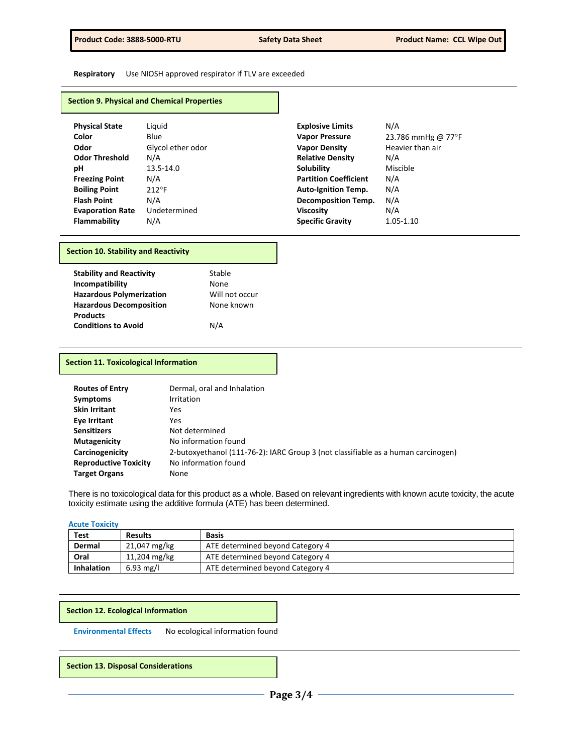**Respiratory** Use NIOSH approved respirator if TLV are exceeded

## **Section 9. Physical and Chemical Properties**

| <b>Physical State</b>   | Liguid            | <b>Explosive Limits</b>      | N/A                |
|-------------------------|-------------------|------------------------------|--------------------|
| Color                   | Blue              | <b>Vapor Pressure</b>        | 23.786 mmHg @ 77°F |
| Odor                    | Glycol ether odor | <b>Vapor Density</b>         | Heavier than air   |
| <b>Odor Threshold</b>   | N/A               | <b>Relative Density</b>      | N/A                |
| рH                      | 13.5-14.0         | <b>Solubility</b>            | Miscible           |
| <b>Freezing Point</b>   | N/A               | <b>Partition Coefficient</b> | N/A                |
| <b>Boiling Point</b>    | $212^{\circ}F$    | <b>Auto-Ignition Temp.</b>   | N/A                |
| <b>Flash Point</b>      | N/A               | <b>Decomposition Temp.</b>   | N/A                |
| <b>Evaporation Rate</b> | Undetermined      | <b>Viscosity</b>             | N/A                |
| <b>Flammability</b>     | N/A               | <b>Specific Gravity</b>      | 1.05-1.10          |

## **Section 10. Stability and Reactivity**

| <b>Stability and Reactivity</b> | Stable         |
|---------------------------------|----------------|
| Incompatibility                 | None           |
| <b>Hazardous Polymerization</b> | Will not occur |
| <b>Hazardous Decomposition</b>  | None known     |
| <b>Products</b>                 |                |
| <b>Conditions to Avoid</b>      | N/A            |

## **Section 11. Toxicological Information**

| <b>Routes of Entry</b>       | Dermal, oral and Inhalation                                                       |
|------------------------------|-----------------------------------------------------------------------------------|
| <b>Symptoms</b>              | <b>Irritation</b>                                                                 |
| <b>Skin Irritant</b>         | Yes                                                                               |
| Eye Irritant                 | Yes                                                                               |
| <b>Sensitizers</b>           | Not determined                                                                    |
| Mutagenicity                 | No information found                                                              |
| Carcinogenicity              | 2-butoxyethanol (111-76-2): IARC Group 3 (not classifiable as a human carcinogen) |
| <b>Reproductive Toxicity</b> | No information found                                                              |
| <b>Target Organs</b>         | None                                                                              |

There is no toxicological data for this product as a whole. Based on relevant ingredients with known acute toxicity, the acute toxicity estimate using the additive formula (ATE) has been determined.

## **Acute Toxicity**

| Test              | <b>Results</b>      | <b>Basis</b>                     |
|-------------------|---------------------|----------------------------------|
| Dermal            | 21,047 mg/kg        | ATE determined beyond Category 4 |
| Oral              | 11,204 mg/kg        | ATE determined beyond Category 4 |
| <b>Inhalation</b> | $6.93 \text{ mg/l}$ | ATE determined beyond Category 4 |

#### **Section 12. Ecological Information**

**Environmental Effects** No ecological information found

**Section 13. Disposal Considerations**